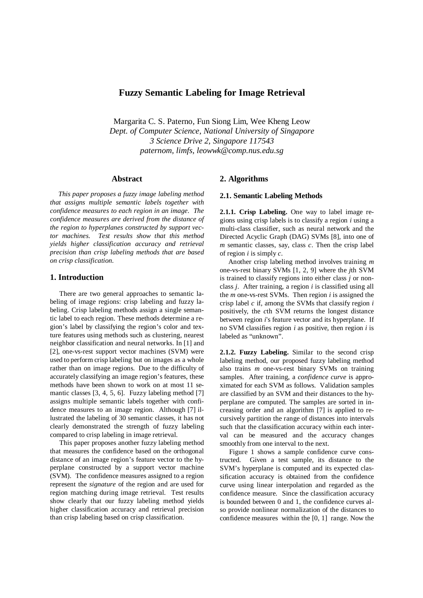# **Fuzzy Semantic Labeling for Image Retrieval**

Margarita C. S. Paterno, Fun Siong Lim, Wee Kheng Leow *Dept. of Computer Science, National University of Singapore 3 Science Drive 2, Singapore 117543 paternom, limfs, leowwk@comp.nus.edu.sg*

### **Abstract**

*This paper proposes a fuzzy image labeling method that assigns multiple semantic labels together with confidence measures to each region in an image. The confidence measures are derived from the distance of the region to hyperplanes constructed by support vector machines. Test results show that this method yields higher classification accuracy and retrieval precision than crisp labeling methods that are based on crisp classification.*

# **1. Introduction**

There are two general approaches to semantic labeling of image regions: crisp labeling and fuzzy labeling. Crisp labeling methods assign a single semantic label to each region. These methods determine a region's label by classifying the region's color and texture features using methods such as clustering, nearest neighbor classification and neural networks. In [1] and [2], one-vs-rest support vector machines (SVM) were used to perform crisp labeling but on images as a whole rather than on image regions. Due to the difficulty of accurately classifying an image region's features, these methods have been shown to work on at most 11 semantic classes [3, 4, 5, 6]. Fuzzy labeling method [7] assigns multiple semantic labels together with confidence measures to an image region. Although [7] illustrated the labeling of 30 semantic classes, it has not clearly demonstrated the strength of fuzzy labeling compared to crisp labeling in image retrieval.

This paper proposes another fuzzy labeling method that measures the confidence based on the orthogonal distance of an image region's feature vector to the hyperplane constructed by a support vector machine (SVM). The confidence measures assigned to a region represent the *signature* of the region and are used for region matching during image retrieval. Test results show clearly that our fuzzy labeling method yields higher classification accuracy and retrieval precision than crisp labeling based on crisp classification.

## **2. Algorithms**

## **2.1. Semantic Labeling Methods**

**2.1.1. Crisp Labeling.** One way to label image regions using crisp labels is to classify a region *i* using a multi-class classifier, such as neural network and the Directed Acyclic Graph (DAG) SVMs [8], into one of *m* semantic classes, say, class *c*. Then the crisp label of region *i* is simply *c*.

Another crisp labeling method involves training *m* one-vs-rest binary SVMs [1, 2, 9] where the *j*th SVM is trained to classify regions into either class *j* or nonclass *j*. After training, a region *i* is classified using all the *m* one-vs-rest SVMs. Then region *i* is assigned the crisp label *c* if, among the SVMs that classify region *i* positively, the *c*th SVM returns the longest distance between region *i*'s feature vector and its hyperplane. If no SVM classifies region *i* as positive, then region *i* is labeled as "unknown".

**2.1.2. Fuzzy Labeling.** Similar to the second crisp labeling method, our proposed fuzzy labeling method also trains *m* one-vs-rest binary SVMs on training samples. After training, a *confidence curve* is approximated for each SVM as follows. Validation samples are classified by an SVM and their distances to the hyperplane are computed. The samples are sorted in increasing order and an algorithm [7] is applied to recursively partition the range of distances into intervals such that the classification accuracy within each interval can be measured and the accuracy changes smoothly from one interval to the next.

Figure 1 shows a sample confidence curve constructed. Given a test sample, its distance to the SVM's hyperplane is computed and its expected classification accuracy is obtained from the confidence curve using linear interpolation and regarded as the confidence measure. Since the classification accuracy is bounded between 0 and 1, the confidence curves also provide nonlinear normalization of the distances to confidence measures within the [0, 1] range. Now the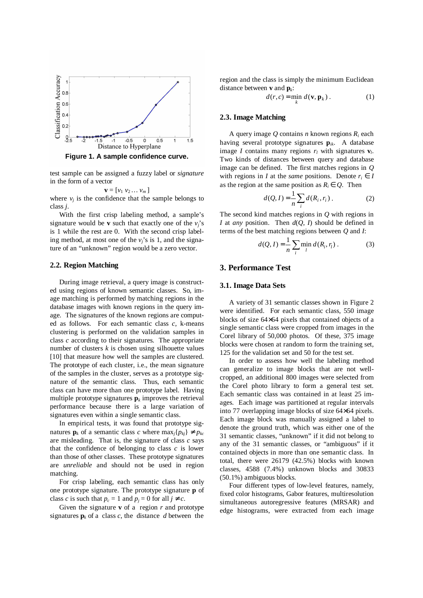

**Figure 1. A sample confidence curve.**

test sample can be assigned a fuzzy label or *signature* in the form of a vector

$$
\mathbf{v} = [\nu_1 \; \nu_2 \; \dots \; \nu_m]
$$

where  $v_i$  is the confidence that the sample belongs to class *j*.

With the first crisp labeling method, a sample's signature would be **v** such that exactly one of the  $v_i$ 's is 1 while the rest are 0. With the second crisp labeling method, at most one of the *vj*'s is 1, and the signature of an "unknown" region would be a zero vector.

#### **2.2. Region Matching**

During image retrieval, a query image is constructed using regions of known semantic classes. So, image matching is performed by matching regions in the database images with known regions in the query image. The signatures of the known regions are computed as follows. For each semantic class *c*, k-means clustering is performed on the validation samples in class *c* according to their signatures. The appropriate number of clusters  $k$  is chosen using silhouette values [10] that measure how well the samples are clustered. The prototype of each cluster, i.e., the mean signature of the samples in the cluster, serves as a prototype signature of the semantic class. Thus, each semantic class can have more than one prototype label. Having multiple prototype signatures  $\mathbf{p}_k$  improves the retrieval performance because there is a large variation of signatures even within a single semantic class.

In empirical tests, it was found that prototype signatures **p**<sub>k</sub> of a semantic class *c* where  $\max_i \{p_{ki}\}\neq p_{ki}$ are misleading. That is, the signature of class *c* says that the confidence of belonging to class *c* is lower than those of other classes. These prototype signatures are *unreliable* and should not be used in region matching.

For crisp labeling, each semantic class has only one prototype signature. The prototype signature **p** of class *c* is such that  $p_c = 1$  and  $p_j = 0$  for all  $j \neq c$ .

Given the signature **v** of a region *r* and prototype signatures  $\mathbf{p}_k$  of a class *c*, the distance *d* between the

region and the class is simply the minimum Euclidean distance between **v** and **p***<sup>k</sup>* :

$$
d(r, c) = \min_{k} d(\mathbf{v}, \mathbf{p}_{k}).
$$
 (1)

#### **2.3. Image Matching**

A query image *Q* contains *n* known regions *R<sup>i</sup>* each having several prototype signatures **p***ik*. A database image *I* contains many regions  $r_l$  with signatures  $\mathbf{v}_l$ . Two kinds of distances between query and database image can be defined. The first matches regions in *Q* with regions in *I* at the *same* positions. Denote  $r_i \in I$ as the region at the same position as  $R_i \in Q$ . Then

$$
d(Q, I) = \frac{1}{n} \sum_{i} d(R_i, r_i).
$$
 (2)

The second kind matches regions in *Q* with regions in *I* at *any* position. Then *d*(*Q*, *I*) should be defined in terms of the best matching regions between *Q* and *I*:

$$
d(Q, I) = \frac{1}{n} \sum_{i} \min_{l} d(R_i, r_l).
$$
 (3)

## **3. Performance Test**

### **3.1. Image Data Sets**

A variety of 31 semantic classes shown in Figure 2 were identified. For each semantic class, 550 image blocks of size 64×64 pixels that contained objects of a single semantic class were cropped from images in the Corel library of 50,000 photos. Of these, 375 image blocks were chosen at random to form the training set, 125 for the validation set and 50 for the test set.

In order to assess how well the labeling method can generalize to image blocks that are not wellcropped, an additional 800 images were selected from the Corel photo library to form a general test set*.* Each semantic class was contained in at least 25 images. Each image was partitioned at regular intervals into 77 overlapping image blocks of size 64×64 pixels. Each image block was manually assigned a label to denote the ground truth, which was either one of the 31 semantic classes, "unknown" if it did not belong to any of the 31 semantic classes, or "ambiguous" if it contained objects in more than one semantic class. In total, there were 26179 (42.5%) blocks with known classes, 4588 (7.4%) unknown blocks and 30833 (50.1%) ambiguous blocks.

Four different types of low-level features, namely, fixed color histograms, Gabor features, multiresolution simultaneous autoregressive features (MRSAR) and edge histograms, were extracted from each image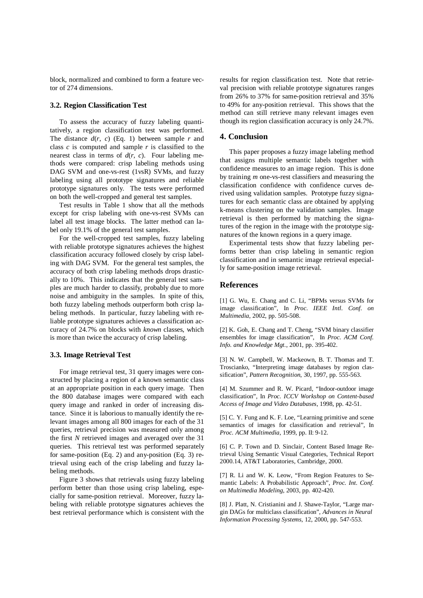block, normalized and combined to form a feature vector of 274 dimensions.

## **3.2. Region Classification Test**

To assess the accuracy of fuzzy labeling quantitatively, a region classification test was performed. The distance  $d(r, c)$  (Eq. 1) between sample  $r$  and class *c* is computed and sample *r* is classified to the nearest class in terms of  $d(r, c)$ . Four labeling methods were compared: crisp labeling methods using DAG SVM and one-vs-rest (1vsR) SVMs, and fuzzy labeling using all prototype signatures and reliable prototype signatures only. The tests were performed on both the well-cropped and general test samples.

Test results in Table 1 show that all the methods except for crisp labeling with one-vs-rest SVMs can label all test image blocks. The latter method can label only 19.1% of the general test samples.

For the well-cropped test samples, fuzzy labeling with reliable prototype signatures achieves the highest classification accuracy followed closely by crisp labeling with DAG SVM. For the general test samples, the accuracy of both crisp labeling methods drops drastically to 10%. This indicates that the general test samples are much harder to classify, probably due to more noise and ambiguity in the samples. In spite of this, both fuzzy labeling methods outperform both crisp labeling methods. In particular, fuzzy labeling with reliable prototype signatures achieves a classification accuracy of 24.7% on blocks with *known* classes, which is more than twice the accuracy of crisp labeling.

### **3.3. Image Retrieval Test**

For image retrieval test, 31 query images were constructed by placing a region of a known semantic class at an appropriate position in each query image. Then the 800 database images were compared with each query image and ranked in order of increasing distance. Since it is laborious to manually identify the relevant images among all 800 images for each of the 31 queries, retrieval precision was measured only among the first *N* retrieved images and averaged over the 31 queries. This retrieval test was performed separately for same-position (Eq. 2) and any-position (Eq. 3) retrieval using each of the crisp labeling and fuzzy labeling methods.

Figure 3 shows that retrievals using fuzzy labeling perform better than those using crisp labeling, especially for same-position retrieval. Moreover, fuzzy labeling with reliable prototype signatures achieves the best retrieval performance which is consistent with the

results for region classification test. Note that retrieval precision with reliable prototype signatures ranges from 26% to 37% for same-position retrieval and 35% to 49% for any-position retrieval. This shows that the method can still retrieve many relevant images even though its region classification accuracy is only 24.7%.

# **4. Conclusion**

This paper proposes a fuzzy image labeling method that assigns multiple semantic labels together with confidence measures to an image region. This is done by training *m* one-vs-rest classifiers and measuring the classification confidence with confidence curves derived using validation samples. Prototype fuzzy signatures for each semantic class are obtained by applying k-means clustering on the validation samples. Image retrieval is then performed by matching the signatures of the region in the image with the prototype signatures of the known regions in a query image.

Experimental tests show that fuzzy labeling performs better than crisp labeling in semantic region classification and in semantic image retrieval especially for same-position image retrieval.

### **References**

[1] G. Wu, E. Chang and C. Li, "BPMs versus SVMs for image classification", In *Proc. IEEE Intl. Conf. on Multimedia*, 2002, pp. 505-508.

[2] K. Goh, E. Chang and T. Cheng, "SVM binary classifier ensembles for image classification", In *Proc. ACM Conf. Info. and Knowledge Mgt.*, 2001, pp. 395-402.

[3] N. W. Campbell, W. Mackeown, B. T. Thomas and T. Troscianko, "Interpreting image databases by region classification", *Pattern Recognition*, 30, 1997, pp. 555-563.

[4] M. Szummer and R. W. Picard, "Indoor-outdoor image classification", In *Proc. ICCV Workshop on Content-based Access of Image and Video Databases*, 1998, pp. 42-51.

[5] C. Y. Fung and K. F. Loe, "Learning primitive and scene semantics of images for classification and retrieval", In *Proc. ACM Multimedia*, 1999, pp. II: 9-12.

[6] C. P. Town and D. Sinclair, Content Based Image Retrieval Using Semantic Visual Categories, Technical Report 2000.14, AT&T Laboratories, Cambridge, 2000.

[7] R. Li and W. K. Leow, "From Region Features to Semantic Labels: A Probabilistic Approach", *Proc. Int. Conf. on Multimedia Modeling*, 2003, pp. 402-420.

[8] J. Platt, N. Cristianini and J. Shawe-Taylor, "Large margin DAGs for multiclass classification", *Advances in Neural Information Processing Systems*, 12, 2000, pp. 547-553.